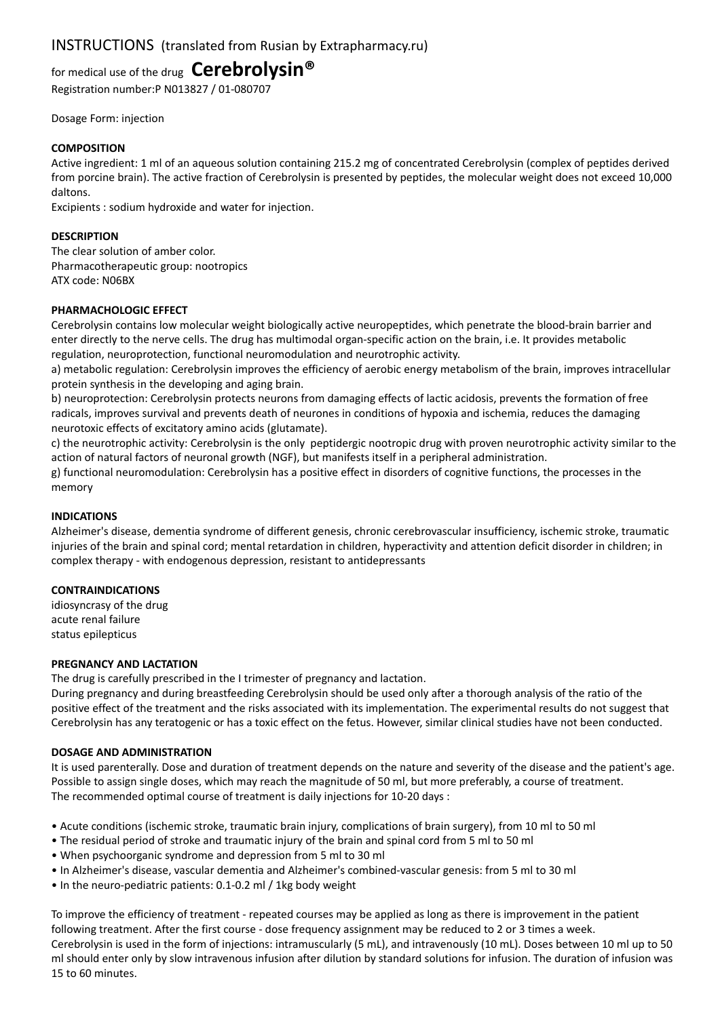# INSTRUCTIONS (translated from Rusian by Extrapharmacy.ru)

for medical use of the drug **Cerebrolysin®**

Registration number:P N013827 / 01-080707

Dosage Form: injection

## **COMPOSITION**

Active ingredient: 1 ml of an aqueous solution containing 215.2 mg of concentrated Cerebrolysin (complex of peptides derived from porcine brain). The active fraction of Cerebrolysin is presented by peptides, the molecular weight does not exceed 10,000 daltons.

Excipients : sodium hydroxide and water for injection.

## **DESCRIPTION**

The clear solution of amber color. Pharmacotherapeutic group: nootropics ATX code: N06BX

## **PHARMACHOLOGIC EFFECT**

Cerebrolysin contains low molecular weight biologically active neuropeptides, which penetrate the blood-brain barrier and enter directly to the nerve cells. The drug has multimodal organ-specific action on the brain, i.e. It provides metabolic regulation, neuroprotection, functional neuromodulation and neurotrophic activity.

a) metabolic regulation: Cerebrolysin improves the efficiency of aerobic energy metabolism of the brain, improves intracellular protein synthesis in the developing and aging brain.

b) neuroprotection: Cerebrolysin protects neurons from damaging effects of lactic acidosis, prevents the formation of free radicals, improves survival and prevents death of neurones in conditions of hypoxia and ischemia, reduces the damaging neurotoxic effects of excitatory amino acids (glutamate).

c) the neurotrophic activity: Cerebrolysin is the only peptidergic nootropic drug with proven neurotrophic activity similar to the action of natural factors of neuronal growth (NGF), but manifests itself in a peripheral administration.

g) functional neuromodulation: Cerebrolysin has a positive effect in disorders of cognitive functions, the processes in the memory

#### **INDICATIONS**

Alzheimer's disease, dementia syndrome of different genesis, chronic cerebrovascular insufficiency, ischemic stroke, traumatic injuries of the brain and spinal cord; mental retardation in children, hyperactivity and attention deficit disorder in children; in complex therapy - with endogenous depression, resistant to antidepressants

#### **CONTRAINDICATIONS**

idiosyncrasy of the drug acute renal failure status epilepticus

#### **PREGNANCY AND LACTATION**

The drug is carefully prescribed in the I trimester of pregnancy and lactation.

During pregnancy and during breastfeeding Cerebrolysin should be used only after a thorough analysis of the ratio of the positive effect of the treatment and the risks associated with its implementation. The experimental results do not suggest that Cerebrolysin has any teratogenic or has a toxic effect on the fetus. However, similar clinical studies have not been conducted.

#### **DOSAGE AND ADMINISTRATION**

It is used parenterally. Dose and duration of treatment depends on the nature and severity of the disease and the patient's age. Possible to assign single doses, which may reach the magnitude of 50 ml, but more preferably, a course of treatment. The recommended optimal course of treatment is daily injections for 10-20 days :

- Acute conditions (ischemic stroke, traumatic brain injury, complications of brain surgery), from 10 ml to 50 ml
- The residual period of stroke and traumatic injury of the brain and spinal cord from 5 ml to 50 ml
- When psychoorganic syndrome and depression from 5 ml to 30 ml
- In Alzheimer's disease, vascular dementia and Alzheimer's combined-vascular genesis: from 5 ml to 30 ml
- In the neuro-pediatric patients: 0.1-0.2 ml / 1kg body weight

To improve the efficiency of treatment - repeated courses may be applied as long as there is improvement in the patient following treatment. After the first course - dose frequency assignment may be reduced to 2 or 3 times a week. Cerebrolysin is used in the form of injections: intramuscularly (5 mL), and intravenously (10 mL). Doses between 10 ml up to 50 ml should enter only by slow intravenous infusion after dilution by standard solutions for infusion. The duration of infusion was 15 to 60 minutes.